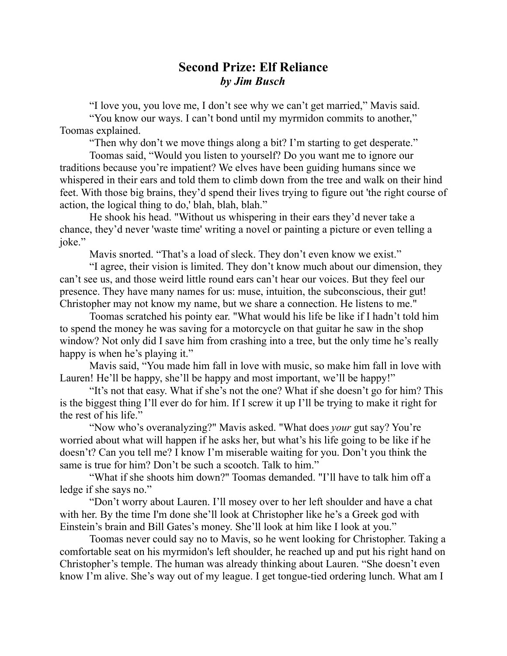## **Second Prize: Elf Reliance** *by Jim Busch*

"I love you, you love me, I don't see why we can't get married," Mavis said.

"You know our ways. I can't bond until my myrmidon commits to another," Toomas explained.

"Then why don't we move things along a bit? I'm starting to get desperate."

Toomas said, "Would you listen to yourself? Do you want me to ignore our traditions because you're impatient? We elves have been guiding humans since we whispered in their ears and told them to climb down from the tree and walk on their hind feet. With those big brains, they'd spend their lives trying to figure out 'the right course of action, the logical thing to do,' blah, blah, blah."

He shook his head. "Without us whispering in their ears they'd never take a chance, they'd never 'waste time' writing a novel or painting a picture or even telling a joke."

Mavis snorted. "That's a load of sleck. They don't even know we exist."

"I agree, their vision is limited. They don't know much about our dimension, they can't see us, and those weird little round ears can't hear our voices. But they feel our presence. They have many names for us: muse, intuition, the subconscious, their gut! Christopher may not know my name, but we share a connection. He listens to me."

Toomas scratched his pointy ear. "What would his life be like if I hadn't told him to spend the money he was saving for a motorcycle on that guitar he saw in the shop window? Not only did I save him from crashing into a tree, but the only time he's really happy is when he's playing it."

Mavis said, "You made him fall in love with music, so make him fall in love with Lauren! He'll be happy, she'll be happy and most important, we'll be happy!"

"It's not that easy. What if she's not the one? What if she doesn't go for him? This is the biggest thing I'll ever do for him. If I screw it up I'll be trying to make it right for the rest of his life."

"Now who's overanalyzing?" Mavis asked. "What does *your* gut say? You're worried about what will happen if he asks her, but what's his life going to be like if he doesn't? Can you tell me? I know I'm miserable waiting for you. Don't you think the same is true for him? Don't be such a scootch. Talk to him."

"What if she shoots him down?" Toomas demanded. "I'll have to talk him off a ledge if she says no."

"Don't worry about Lauren. I'll mosey over to her left shoulder and have a chat with her. By the time I'm done she'll look at Christopher like he's a Greek god with Einstein's brain and Bill Gates's money. She'll look at him like I look at you."

Toomas never could say no to Mavis, so he went looking for Christopher. Taking a comfortable seat on his myrmidon's left shoulder, he reached up and put his right hand on Christopher's temple. The human was already thinking about Lauren. "She doesn't even know I'm alive. She's way out of my league. I get tongue-tied ordering lunch. What am I